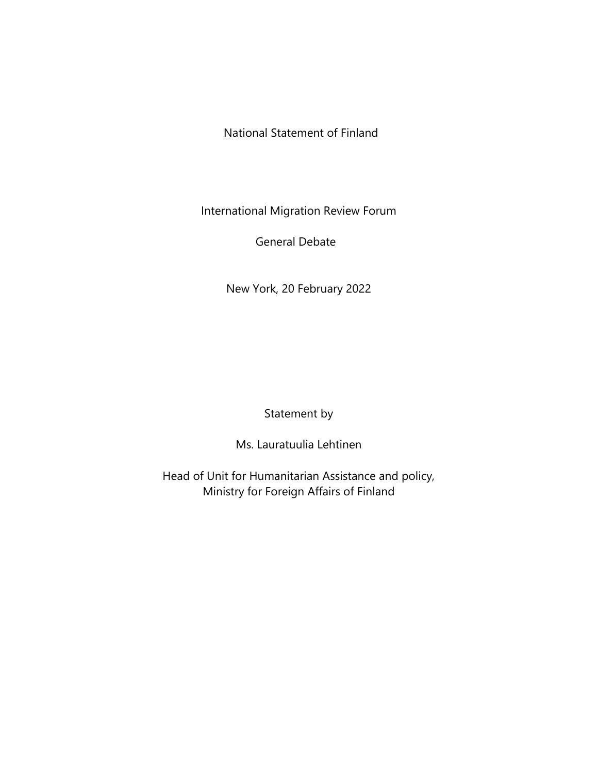National Statement of Finland

International Migration Review Forum

General Debate

New York, 20 February 2022

Statement by

Ms. Lauratuulia Lehtinen

Head of Unit for Humanitarian Assistance and policy, Ministry for Foreign Affairs of Finland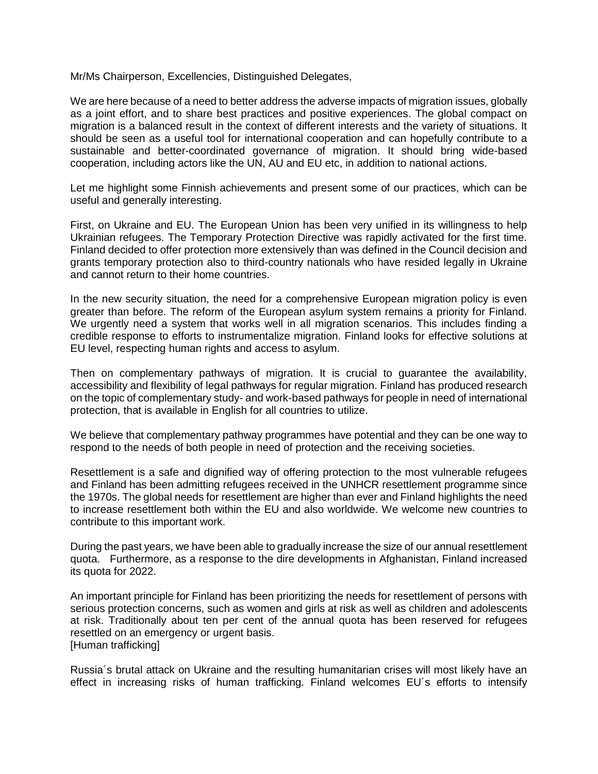Mr/Ms Chairperson, Excellencies, Distinguished Delegates,

We are here because of a need to better address the adverse impacts of migration issues, globally as a joint effort, and to share best practices and positive experiences. The global compact on migration is a balanced result in the context of different interests and the variety of situations. It should be seen as a useful tool for international cooperation and can hopefully contribute to a sustainable and better-coordinated governance of migration. It should bring wide-based cooperation, including actors like the UN, AU and EU etc, in addition to national actions.

Let me highlight some Finnish achievements and present some of our practices, which can be useful and generally interesting.

First, on Ukraine and EU. The European Union has been very unified in its willingness to help Ukrainian refugees. The Temporary Protection Directive was rapidly activated for the first time. Finland decided to offer protection more extensively than was defined in the Council decision and grants temporary protection also to third-country nationals who have resided legally in Ukraine and cannot return to their home countries.

In the new security situation, the need for a comprehensive European migration policy is even greater than before. The reform of the European asylum system remains a priority for Finland. We urgently need a system that works well in all migration scenarios. This includes finding a credible response to efforts to instrumentalize migration. Finland looks for effective solutions at EU level, respecting human rights and access to asylum.

Then on complementary pathways of migration. It is crucial to guarantee the availability, accessibility and flexibility of legal pathways for regular migration. Finland has produced research on the topic of complementary study- and work-based pathways for people in need of international protection, that is available in English for all countries to utilize.

We believe that complementary pathway programmes have potential and they can be one way to respond to the needs of both people in need of protection and the receiving societies.

Resettlement is a safe and dignified way of offering protection to the most vulnerable refugees and Finland has been admitting refugees received in the UNHCR resettlement programme since the 1970s. The global needs for resettlement are higher than ever and Finland highlights the need to increase resettlement both within the EU and also worldwide. We welcome new countries to contribute to this important work.

During the past years, we have been able to gradually increase the size of our annual resettlement quota. Furthermore, as a response to the dire developments in Afghanistan, Finland increased its quota for 2022.

An important principle for Finland has been prioritizing the needs for resettlement of persons with serious protection concerns, such as women and girls at risk as well as children and adolescents at risk. Traditionally about ten per cent of the annual quota has been reserved for refugees resettled on an emergency or urgent basis. [Human trafficking]

Russia´s brutal attack on Ukraine and the resulting humanitarian crises will most likely have an effect in increasing risks of human trafficking. Finland welcomes EU´s efforts to intensify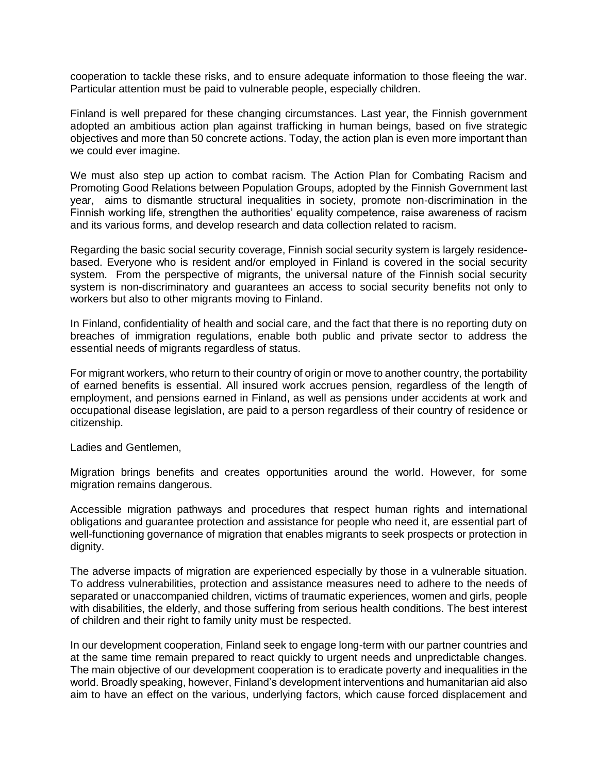cooperation to tackle these risks, and to ensure adequate information to those fleeing the war. Particular attention must be paid to vulnerable people, especially children.

Finland is well prepared for these changing circumstances. Last year, the Finnish government adopted an ambitious action plan against trafficking in human beings, based on five strategic objectives and more than 50 concrete actions. Today, the action plan is even more important than we could ever imagine.

We must also step up action to combat racism. The Action Plan for Combating Racism and Promoting Good Relations between Population Groups, adopted by the Finnish Government last year, aims to dismantle structural inequalities in society, promote non-discrimination in the Finnish working life, strengthen the authorities' equality competence, raise awareness of racism and its various forms, and develop research and data collection related to racism.

Regarding the basic social security coverage, Finnish social security system is largely residencebased. Everyone who is resident and/or employed in Finland is covered in the social security system. From the perspective of migrants, the universal nature of the Finnish social security system is non-discriminatory and guarantees an access to social security benefits not only to workers but also to other migrants moving to Finland.

In Finland, confidentiality of health and social care, and the fact that there is no reporting duty on breaches of immigration regulations, enable both public and private sector to address the essential needs of migrants regardless of status.

For migrant workers, who return to their country of origin or move to another country, the portability of earned benefits is essential. All insured work accrues pension, regardless of the length of employment, and pensions earned in Finland, as well as pensions under accidents at work and occupational disease legislation, are paid to a person regardless of their country of residence or citizenship.

Ladies and Gentlemen,

Migration brings benefits and creates opportunities around the world. However, for some migration remains dangerous.

Accessible migration pathways and procedures that respect human rights and international obligations and guarantee protection and assistance for people who need it, are essential part of well-functioning governance of migration that enables migrants to seek prospects or protection in dignity.

The adverse impacts of migration are experienced especially by those in a vulnerable situation. To address vulnerabilities, protection and assistance measures need to adhere to the needs of separated or unaccompanied children, victims of traumatic experiences, women and girls, people with disabilities, the elderly, and those suffering from serious health conditions. The best interest of children and their right to family unity must be respected.

In our development cooperation, Finland seek to engage long-term with our partner countries and at the same time remain prepared to react quickly to urgent needs and unpredictable changes. The main objective of our development cooperation is to eradicate poverty and inequalities in the world. Broadly speaking, however, Finland's development interventions and humanitarian aid also aim to have an effect on the various, underlying factors, which cause forced displacement and